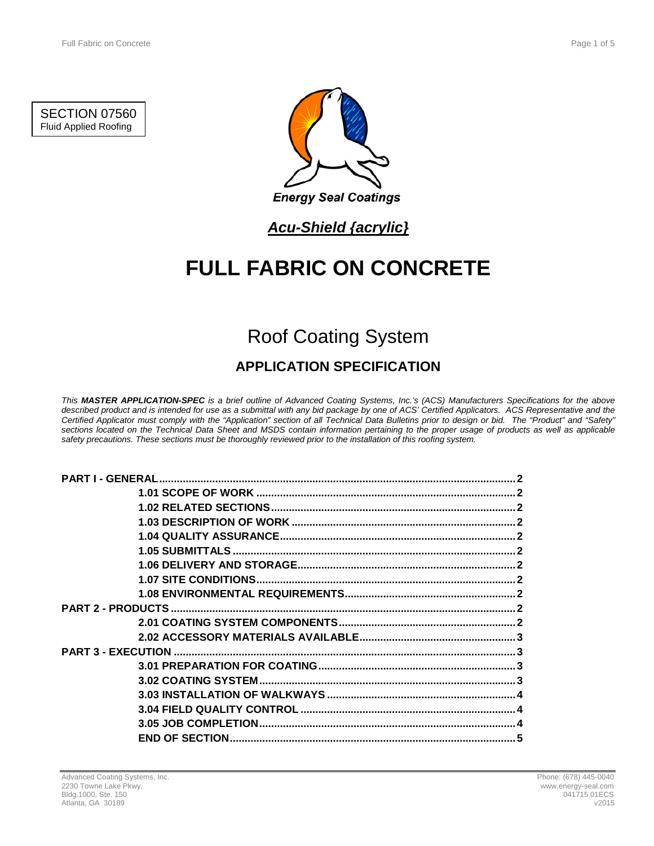SECTION 07560 Fluid Applied Roofing



## *Acu-Shield {acrylic}*

# **FULL FABRIC ON CONCRETE**

# Roof Coating System

## **APPLICATION SPECIFICATION**

*This MASTER APPLICATION-SPEC is a brief outline of Advanced Coating Systems, Inc.'s (ACS) Manufacturers Specifications for the above described product and is intended for use as a submittal with any bid package by one of ACS' Certified Applicators. ACS Representative and the Certified Applicator must comply with the "Application" section of all Technical Data Bulletins prior to design or bid. The "Product" and "Safety" sections located on the Technical Data Sheet and MSDS contain information pertaining to the proper usage of products as well as applicable safety precautions. These sections must be thoroughly reviewed prior to the installation of this roofing system.*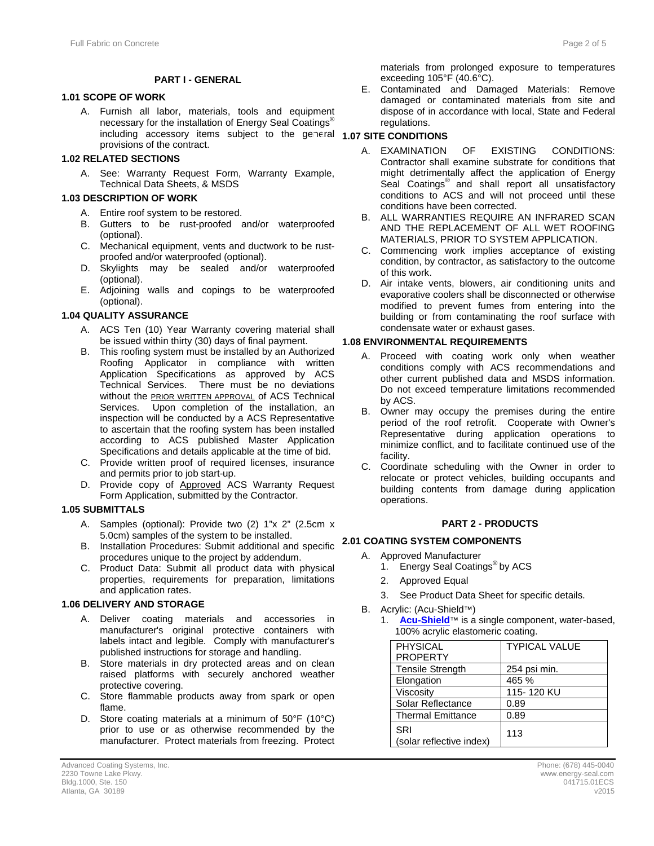#### **PART I - GENERAL**

### **1.1 1.01 SCOPE OF WORK**

A. Furnish all labor, materials, tools and equipment necessary for the installation of Energy Seal Coatings<sup>®</sup> including accessory items subject to the general **1.07 SITE CONDITIONS** provisions of the contract.

#### **1.2 1.02 RELATED SECTIONS**

A. See: Warranty Request Form, Warranty Example, Technical Data Sheets, & MSDS

### **1.3 1.03 DESCRIPTION OF WORK**

- A. Entire roof system to be restored.
- B. Gutters to be rust-proofed and/or waterproofed (optional).
- C. Mechanical equipment, vents and ductwork to be rustproofed and/or waterproofed (optional).
- D. Skylights may be sealed and/or waterproofed (optional).
- E. Adjoining walls and copings to be waterproofed (optional).

#### **1.4 1.04 QUALITY ASSURANCE**

- A. ACS Ten (10) Year Warranty covering material shall be issued within thirty (30) days of final payment.
- B. This roofing system must be installed by an Authorized Roofing Applicator in compliance with written Application Specifications as approved by ACS Technical Services. There must be no deviations without the **PRIOR WRITTEN APPROVAL** of ACS Technical Services. Upon completion of the installation, an inspection will be conducted by a ACS Representative to ascertain that the roofing system has been installed according to ACS published Master Application Specifications and details applicable at the time of bid.
- C. Provide written proof of required licenses, insurance and permits prior to job start-up.
- D. Provide copy of Approved ACS Warranty Request Form Application, submitted by the Contractor.

#### **1.5 1.05 SUBMITTALS**

- A. Samples (optional): Provide two (2) 1"x 2" (2.5cm x 5.0cm) samples of the system to be installed. 5.0cm) samples of the system to be installed.
- B. Installation Procedures: Submit additional and specific **2.1 2.01 COATING SYSTEM COMPONENTS** procedures unique to the project by addendum.
- C. Product Data: Submit all product data with physical properties, requirements for preparation, limitations and application rates.

#### **1.6 1.06 DELIVERY AND STORAGE**

- A. Deliver coating materials and accessories in manufacturer's original protective containers with labels intact and legible. Comply with manufacturer's published instructions for storage and handling.
- B. Store materials in dry protected areas and on clean raised platforms with securely anchored weather protective covering.
- C. Store flammable products away from spark or open flame.
- D. Store coating materials at a minimum of 50°F (10°C) prior to use or as otherwise recommended by the manufacturer. Protect materials from freezing. Protect

materials from prolonged exposure to temperatures exceeding 105°F (40.6°C).

E. Contaminated and Damaged Materials: Remove damaged or contaminated materials from site and dispose of in accordance with local, State and Federal regulations.

- A. EXAMINATION OF EXISTING CONDITIONS: Contractor shall examine substrate for conditions that might detrimentally affect the application of Energy Seal Coatings<sup>®</sup> and shall report all unsatisfactory conditions to ACS and will not proceed until these conditions have been corrected.
- B. ALL WARRANTIES REQUIRE AN INFRARED SCAN AND THE REPLACEMENT OF ALL WET ROOFING MATERIALS, PRIOR TO SYSTEM APPLICATION.
- C. Commencing work implies acceptance of existing condition, by contractor, as satisfactory to the outcome of this work.
- D. Air intake vents, blowers, air conditioning units and evaporative coolers shall be disconnected or otherwise modified to prevent fumes from entering into the building or from contaminating the roof surface with condensate water or exhaust gases.

#### **1.8 1.08 ENVIRONMENTAL REQUIREMENTS**

- A. Proceed with coating work only when weather conditions comply with ACS recommendations and other current published data and MSDS information. Do not exceed temperature limitations recommended by ACS.
- B. Owner may occupy the premises during the entire period of the roof retrofit. Cooperate with Owner's Representative during application operations to minimize conflict, and to facilitate continued use of the facility.
- C. Coordinate scheduling with the Owner in order to relocate or protect vehicles, building occupants and building contents from damage during application operations.

### **2 PART 2 - PRODUCTS**

- A. Approved Manufacturer
	- 1. Energy Seal Coatings<sup>®</sup> by ACS
	- 2. Approved Equal
	- 3. See Product Data Sheet for specific details.
- B. Acrylic: (Acu-Shield™)
	- 1. **[Acu-Shield](http://www.energy-seal.com/UserDyn/ACS/pdfs/acu-shield.pdf)**™ is a single component, water-based, 100% acrylic elastomeric coating.

| <b>PHYSICAL</b>                 | <b>TYPICAL VALUE</b> |
|---------------------------------|----------------------|
| <b>PROPERTY</b>                 |                      |
| <b>Tensile Strength</b>         | 254 psi min.         |
| Elongation                      | 465 %                |
| Viscosity                       | 115-120 KU           |
| Solar Reflectance               | 0.89                 |
| <b>Thermal Emittance</b>        | 0.89                 |
| SRI<br>(solar reflective index) | 113                  |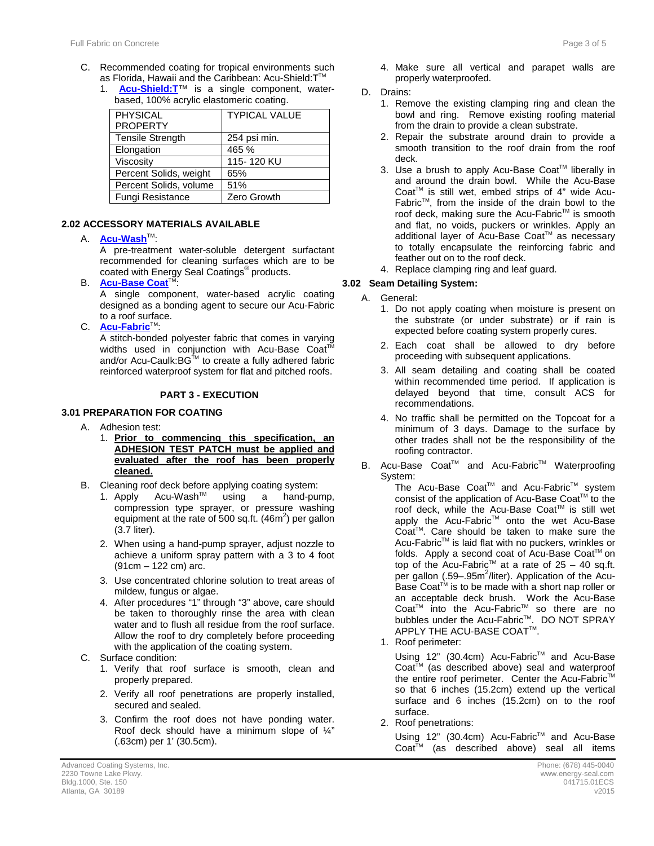- C. Recommended coating for tropical environments such as Florida, Hawaii and the Caribbean: Acu-Shield: T™
	- 1. **[Acu-Shield:T](http://www.energy-seal.com/UserDyn/ACS/pdfs/acu-shield-t.pdf)**™ is a single component, waterbased, 100% acrylic elastomeric coating.

| <b>PHYSICAL</b><br><b>PROPERTY</b> | <b>TYPICAL VALUE</b> |
|------------------------------------|----------------------|
| <b>Tensile Strength</b>            | 254 psi min.         |
| Elongation                         | 465 %                |
| Viscosity                          | 115-120 KU           |
| Percent Solids, weight             | 65%                  |
| Percent Solids, volume             | 51%                  |
| Fungi Resistance                   | Zero Growth          |

#### **2.2 2.02 ACCESSORY MATERIALS AVAILABLE**

A. **[Acu-Wash](http://www.energy-seal.com/UserDyn/ACS/pdfs/acu-wash.pdf)**TM:

A pre-treatment water-soluble detergent surfactant recommended for cleaning surfaces which are to be coated with Energy Seal Coatings® products.

**B. [Acu-Base Coat](http://energy-seal.com/wp-content/uploads/2015/02/Acu-Base-Coat.pdf)**<sup>T</sup>

A single component, water-based acrylic coating designed as a bonding agent to secure our Acu-Fabric to a roof surface.

C. **[Acu-Fabric](http://www.energy-seal.com/UserDyn/ACS/pdfs/acu-fabric-sb.pdf)**™:

A stitch-bonded polyester fabric that comes in varying widths used in conjunction with Acu-Base Coat<sup>T</sup> and/or Acu-Caulk:BG<sup>™</sup> to create a fully adhered fabric reinforced waterproof system for flat and pitched roofs.

#### **3 PART 3 - EXECUTION**

#### **3.1 3.01 PREPARATION FOR COATING**

- A. Adhesion test:
	- 1. **Prior to commencing this specification, an ADHESION TEST PATCH must be applied and evaluated after the roof has been properly cleaned.**
- B. Cleaning roof deck before applying coating system:<br>1. Apply Acu-Wash<sup>™</sup> using a hand-pui
	- 1. Apply Acu-Wash<sup>™</sup> using a hand-pump, compression type sprayer, or pressure washing equipment at the rate of 500 sq.ft.  $(46m^2)$  per gallon (3.7 liter).
	- 2. When using a hand-pump sprayer, adjust nozzle to achieve a uniform spray pattern with a 3 to 4 foot (91cm – 122 cm) arc.
	- 3. Use concentrated chlorine solution to treat areas of mildew, fungus or algae.
	- 4. After procedures "1" through "3" above, care should be taken to thoroughly rinse the area with clean water and to flush all residue from the roof surface. Allow the roof to dry completely before proceeding with the application of the coating system.
- C. Surface condition:
	- 1. Verify that roof surface is smooth, clean and properly prepared.
	- 2. Verify all roof penetrations are properly installed, secured and sealed.
	- 3. Confirm the roof does not have ponding water. Roof deck should have a minimum slope of ¼" (.63cm) per 1' (30.5cm).
- 4. Make sure all vertical and parapet walls are properly waterproofed.
- D. Drains:
	- 1. Remove the existing clamping ring and clean the bowl and ring. Remove existing roofing material from the drain to provide a clean substrate.
	- 2. Repair the substrate around drain to provide a smooth transition to the roof drain from the roof deck.
	- 3. Use a brush to apply Acu-Base Coat™ liberally in and around the drain bowl. While the Acu-Base Coat<sup>™</sup> is still wet, embed strips of 4" wide Acu-Fabric $TM$ , from the inside of the drain bowl to the roof deck, making sure the Acu-Fabric™ is smooth and flat, no voids, puckers or wrinkles. Apply an additional layer of Acu-Base Coat™ as necessary to totally encapsulate the reinforcing fabric and feather out on to the roof deck.
	- 4. Replace clamping ring and leaf guard.

### **3.2 3.02 Seam Detailing System:**

- A. General:
	- 1. Do not apply coating when moisture is present on the substrate (or under substrate) or if rain is expected before coating system properly cures.
	- 2. Each coat shall be allowed to dry before proceeding with subsequent applications.
	- 3. All seam detailing and coating shall be coated within recommended time period. If application is delayed beyond that time, consult ACS for recommendations.
	- 4. No traffic shall be permitted on the Topcoat for a minimum of 3 days. Damage to the surface by other trades shall not be the responsibility of the roofing contractor.
- B. Acu-Base Coat™ and Acu-Fabric™ Waterproofing System:

The Acu-Base Coat™ and Acu-Fabric<sup>™</sup> system consist of the application of Acu-Base Coat™ to the roof deck, while the Acu-Base Coat<sup>™</sup> is still wet apply the Acu-Fabric™ onto the wet Acu-Base Coat<sup>™</sup>. Care should be taken to make sure the Acu-Fabric™ is laid flat with no puckers, wrinkles or folds. Apply a second coat of Acu-Base Coat™ on top of the Acu-Fabric<sup>™</sup> at a rate of  $25 - 40$  sq.ft. per gallon (.59-.95m<sup>2</sup>/liter). Application of the Acu-Base Coat<sup>™</sup> is to be made with a short nap roller or an acceptable deck brush. Work the Acu-Base Coat<sup>™</sup> into the Acu-Fabric<sup>™</sup> so there are no bubbles under the Acu-Fabric™. DO NOT SPRAY APPLY THE ACU-BASE COAT™.

1. Roof perimeter:

Using 12" (30.4cm) Acu-Fabric™ and Acu-Base Coat™ (as described above) seal and waterproof the entire roof perimeter. Center the Acu-Fabric<sup>™</sup> so that 6 inches (15.2cm) extend up the vertical surface and 6 inches (15.2cm) on to the roof surface.

2. Roof penetrations:

Using 12" (30.4cm) Acu-Fabric™ and Acu-Base Coat™ (as described above) seal all items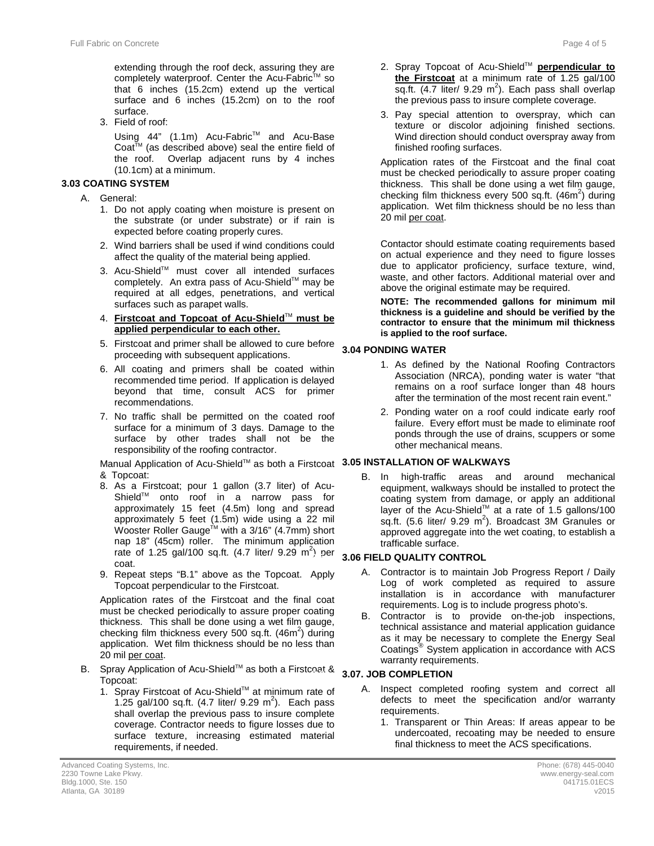extending through the roof deck, assuring they are completely waterproof. Center the Acu-Fabric™ so that 6 inches (15.2cm) extend up the vertical surface and 6 inches (15.2cm) on to the roof surface.

3. Field of roof:

Using 44" (1.1m) Acu-Fabric<sup>™</sup> and Acu-Base Coat<sup>™</sup> (as described above) seal the entire field of the roof. Overlap adjacent runs by 4 inches (10.1cm) at a minimum.

### **3.3 3.03 COATING SYSTEM**

- A. General:
	- 1. Do not apply coating when moisture is present on the substrate (or under substrate) or if rain is expected before coating properly cures.
	- 2. Wind barriers shall be used if wind conditions could affect the quality of the material being applied.
	- 3. Acu-ShieldTM must cover all intended surfaces completely. An extra pass of Acu-Shield™ may be required at all edges, penetrations, and vertical surfaces such as parapet walls.
	- 4. **Firstcoat and Topcoat of Acu-Shield**TM **must be applied perpendicular to each other.**
	- 5. Firstcoat and primer shall be allowed to cure before proceeding with subsequent applications.
	- 6. All coating and primers shall be coated within recommended time period. If application is delayed beyond that time, consult ACS for primer recommendations.
	- 7. No traffic shall be permitted on the coated roof surface for a minimum of 3 days. Damage to the surface by other trades shall not be the responsibility of the roofing contractor.

Manual Application of Acu-ShieldTM as both a Firstcoat **3.05 INSTALLATION OF WALKWAYS** & Topcoat:

- 8. As a Firstcoat; pour 1 gallon (3.7 liter) of Acu-Shield<sup>™</sup> onto roof in a narrow pass for approximately 15 feet (4.5m) long and spread approximately 5 feet (1.5m) wide using a 22 mil Wooster Roller Gauge<sup>™</sup> with a 3/16" (4.7mm) short nap 18" (45cm) roller. The minimum application rate of 1.25 gal/100 sq.ft.  $(4.7 \text{ liter/ } 9.29 \text{ m}^2)$  per coat.
- 9. Repeat steps "B.1" above as the Topcoat. Apply Topcoat perpendicular to the Firstcoat.

Application rates of the Firstcoat and the final coat must be checked periodically to assure proper coating thickness. This shall be done using a wet film gauge, checking film thickness every 500 sq.ft.  $(46m^2)$  during application. Wet film thickness should be no less than 20 mil per coat.

- B. Spray Application of Acu-Shield™ as both a Firstcoat & Topcoat:
	- 1. Spray Firstcoat of Acu-Shield™ at minimum rate of 1.25 gal/100 sq.ft.  $(4.7 \text{ liter/ } 9.29 \text{ m}^2)$ . Each pass shall overlap the previous pass to insure complete coverage. Contractor needs to figure losses due to surface texture, increasing estimated material requirements, if needed.
- 2. Spray Topcoat of Acu-Shield™ **perpendicular to the Firstcoat** at a minimum rate of 1.25 gal/100 sq.ft.  $(4.7$  liter/ 9.29 m<sup>2</sup>). Each pass shall overlap the previous pass to insure complete coverage.
- 3. Pay special attention to overspray, which can texture or discolor adjoining finished sections. Wind direction should conduct overspray away from finished roofing surfaces.

Application rates of the Firstcoat and the final coat must be checked periodically to assure proper coating thickness. This shall be done using a wet film gauge, checking film thickness every 500 sq.ft.  $(46m^2)$  during application. Wet film thickness should be no less than 20 mil per coat.

Contactor should estimate coating requirements based on actual experience and they need to figure losses due to applicator proficiency, surface texture, wind, waste, and other factors. Additional material over and above the original estimate may be required.

**NOTE: The recommended gallons for minimum mil thickness is a guideline and should be verified by the contractor to ensure that the minimum mil thickness is applied to the roof surface.** 

### **3.4 3.04 PONDING WATER**

- 1. As defined by the National Roofing Contractors Association (NRCA), ponding water is water "that remains on a roof surface longer than 48 hours after the termination of the most recent rain event."
- 2. Ponding water on a roof could indicate early roof failure. Every effort must be made to eliminate roof ponds through the use of drains, scuppers or some other mechanical means.

B. In high-traffic areas and around mechanical equipment, walkways should be installed to protect the coating system from damage, or apply an additional layer of the Acu-Shield™ at a rate of 1.5 gallons/100 sq.ft. (5.6 liter/  $9.29 \text{ m}^2$ ). Broadcast 3M Granules or approved aggregate into the wet coating, to establish a trafficable surface.

### **3.5 3.06 FIELD QUALITY CONTROL**

- A. Contractor is to maintain Job Progress Report / Daily Log of work completed as required to assure installation is in accordance with manufacturer requirements. Log is to include progress photo's.
- B. Contractor is to provide on-the-job inspections, technical assistance and material application guidance as it may be necessary to complete the Energy Seal Coatings® System application in accordance with ACS warranty requirements.

### **3.6 3.07. JOB COMPLETION**

- A. Inspect completed roofing system and correct all defects to meet the specification and/or warranty requirements.
	- 1. Transparent or Thin Areas: If areas appear to be undercoated, recoating may be needed to ensure final thickness to meet the ACS specifications.